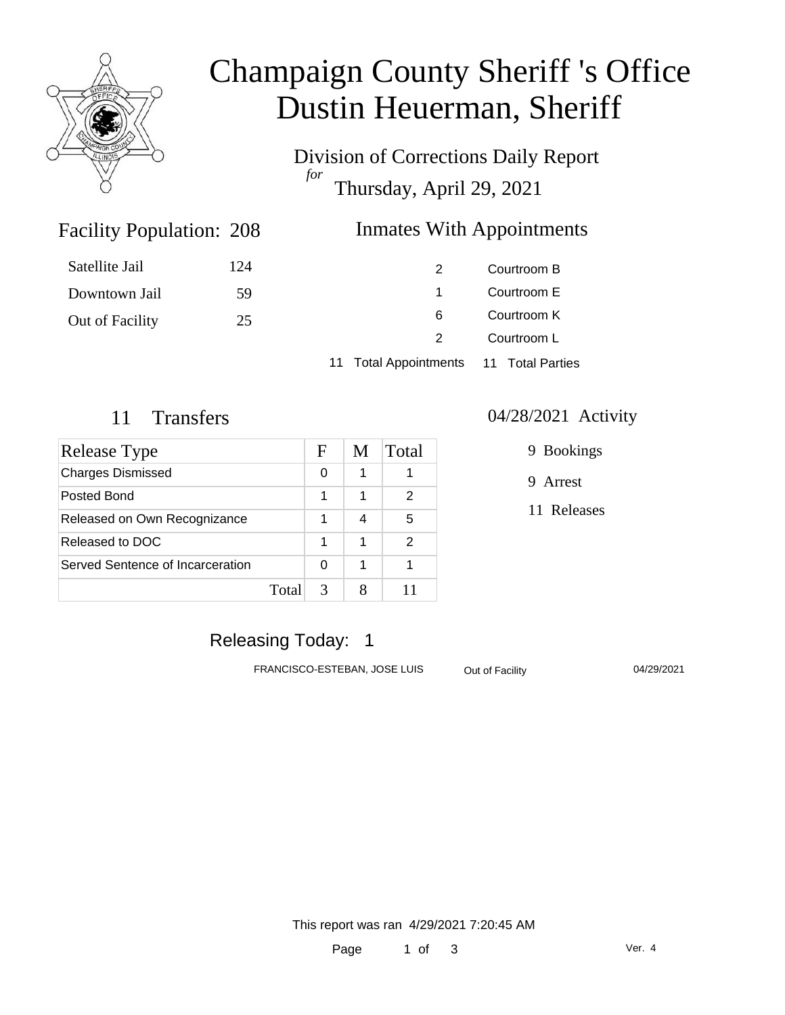

# Champaign County Sheriff 's Office Dustin Heuerman, Sheriff

Division of Corrections Daily Report *for* Thursday, April 29, 2021

### **Inmates With Appointments**

| Satellite Jail  | 124 |                                        | Courtroom B |
|-----------------|-----|----------------------------------------|-------------|
| Downtown Jail   | 59  |                                        | Courtroom E |
| Out of Facility | 25  | 6                                      | Courtroom K |
|                 |     |                                        | Courtroom L |
|                 |     | 11 Total Appointments 11 Total Parties |             |

Facility Population: 208

| Release Type                     |       | F | M | Total         |
|----------------------------------|-------|---|---|---------------|
| <b>Charges Dismissed</b>         |       | 0 | 1 |               |
| Posted Bond                      |       | 1 | 1 | 2             |
| Released on Own Recognizance     |       |   | 4 | 5             |
| Released to DOC                  |       | 1 | 1 | $\mathcal{P}$ |
| Served Sentence of Incarceration |       | 0 | 1 |               |
|                                  | Total |   |   |               |

#### 11 Transfers 04/28/2021 Activity

9 Bookings

9 Arrest

11 Releases

# Releasing Today: 1

FRANCISCO-ESTEBAN, JOSE LUIS Out of Facility 04/29/2021

This report was ran 4/29/2021 7:20:45 AM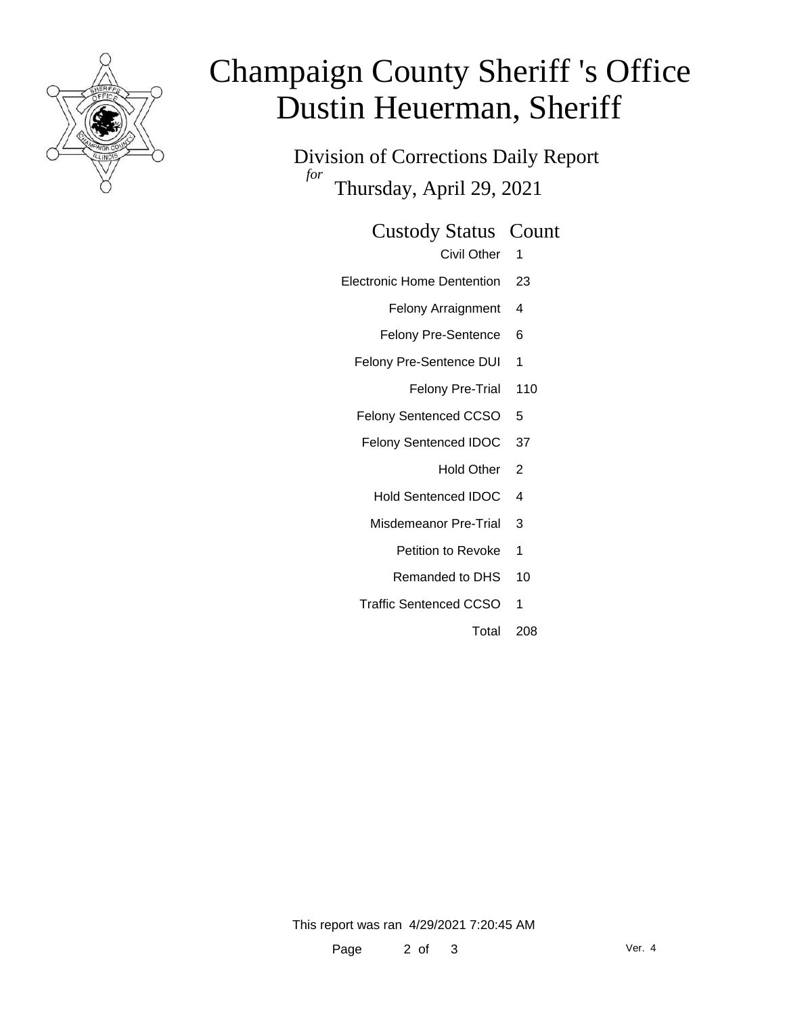

# Champaign County Sheriff 's Office Dustin Heuerman, Sheriff

Division of Corrections Daily Report *for* Thursday, April 29, 2021

#### Custody Status Count

Civil Other 1

- Electronic Home Dentention 23
	- Felony Arraignment 4
	- Felony Pre-Sentence 6
	- Felony Pre-Sentence DUI 1
		- Felony Pre-Trial 110
	- Felony Sentenced CCSO 5
	- Felony Sentenced IDOC 37
		- Hold Other 2
		- Hold Sentenced IDOC 4
		- Misdemeanor Pre-Trial 3
			- Petition to Revoke 1
			- Remanded to DHS 10
	- Traffic Sentenced CCSO 1
		- Total 208

This report was ran 4/29/2021 7:20:45 AM